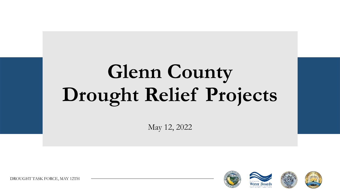# **Glenn County Drought Relief Projects**

May 12, 2022



DROUGHT TASK FORCE, MAY 12TH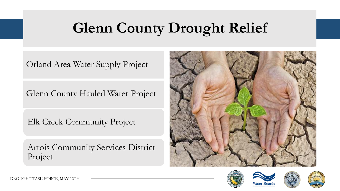### **Glenn County Drought Relief**

Orland Area Water Supply Project

Glenn County Hauled Water Project

Elk Creek Community Project

Artois Community Services District Project







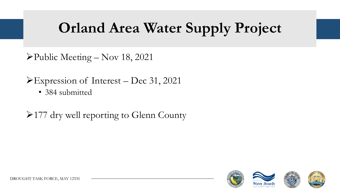➢Public Meeting – Nov 18, 2021

➢Expression of Interest – Dec 31, 2021

• 384 submitted

➢177 dry well reporting to Glenn County

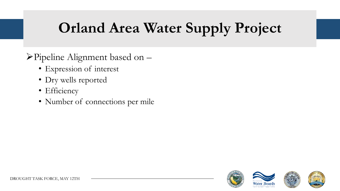- ➢Pipeline Alignment based on
	- Expression of interest
	- Dry wells reported
	- Efficiency
	- Number of connections per mile

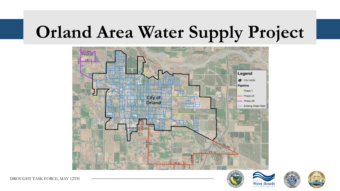

DROUGHT TASK FORCE, MAY 12TH



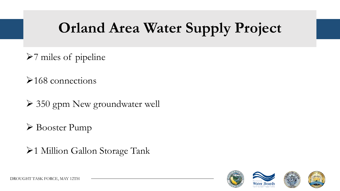- ➢7 miles of pipeline
- ➢168 connections
- ➢ 350 gpm New groundwater well
- ➢ Booster Pump
- ➢1 Million Gallon Storage Tank

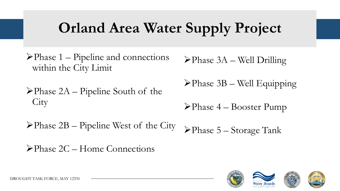- $\blacktriangleright$ Phase 1 Pipeline and connections within the City Limit
- ➢Phase 2A Pipeline South of the **City**

 $\blacktriangleright$ Phase 2B – Pipeline West of the City

➢Phase 3A – Well Drilling

➢Phase 3B – Well Equipping

➢Phase 4 – Booster Pump

➢Phase 5 – Storage Tank

➢Phase 2C – Home Connections

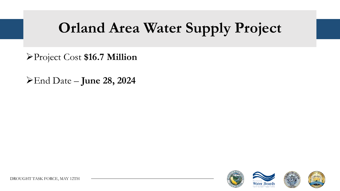➢Project Cost **\$16.7 Million**

➢End Date – **June 28, 2024**

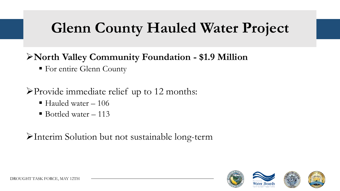### **Glenn County Hauled Water Project**

#### ➢**North Valley Community Foundation - \$1.9 Million**

**Example 1 For entire Glenn County** 

➢Provide immediate relief up to 12 months:

- $\blacksquare$  Hauled water  $-106$
- $\blacksquare$  Bottled water 113

➢Interim Solution but not sustainable long-term

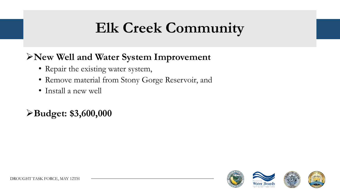### **Elk Creek Community**

#### ➢**New Well and Water System Improvement**

- Repair the existing water system,
- Remove material from Stony Gorge Reservoir, and
- Install a new well

#### ➢**Budget: \$3,600,000**

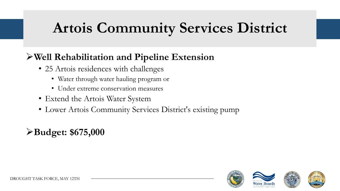### **Artois Community Services District**

#### ➢**Well Rehabilitation and Pipeline Extension**

- 25 Artois residences with challenges
	- Water through water hauling program or
	- Under extreme conservation measures
- Extend the Artois Water System
- Lower Artois Community Services District's existing pump

#### ➢**Budget: \$675,000**

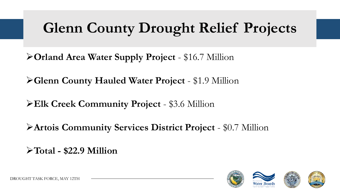### **Glenn County Drought Relief Projects**

➢**Orland Area Water Supply Project** - \$16.7 Million

➢**Glenn County Hauled Water Project** - \$1.9 Million

➢**Elk Creek Community Project** - \$3.6 Million

➢**Artois Community Services District Project** - \$0.7 Million

➢**Total - \$22.9 Million**